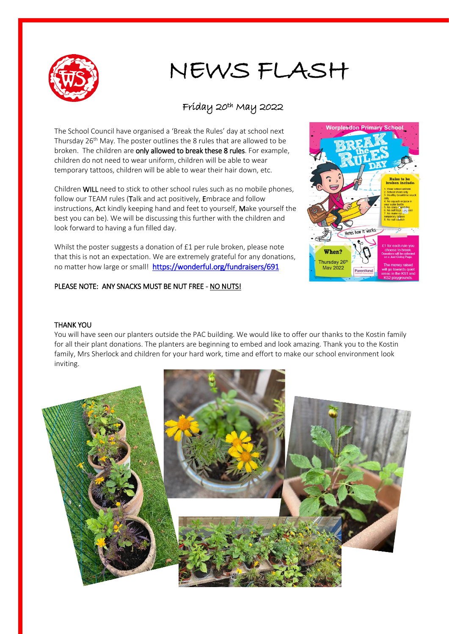

# NEWS FLASH

### Friday 20th May 2022

The School Council have organised a 'Break the Rules' day at school next Thursday 26<sup>th</sup> May. The poster outlines the 8 rules that are allowed to be broken. The children are only allowed to break these 8 rules. For example, children do not need to wear uniform, children will be able to wear temporary tattoos, children will be able to wear their hair down, etc.

Children WILL need to stick to other school rules such as no mobile phones, follow our TEAM rules (Talk and act positively, Embrace and follow instructions, Act kindly keeping hand and feet to yourself, Make yourself the best you can be). We will be discussing this further with the children and look forward to having a fun filled day.

Whilst the poster suggests a donation of £1 per rule broken, please note that this is not an expectation. We are extremely grateful for any donations, no matter how large or small! https://wonderful.org/fundraisers/691

#### PLEASE NOTE: ANY SNACKS MUST BE NUT FREE - NO NUTS!



#### THANK YOU

You will have seen our planters outside the PAC building. We would like to offer our thanks to the Kostin family for all their plant donations. The planters are beginning to embed and look amazing. Thank you to the Kostin family, Mrs Sherlock and children for your hard work, time and effort to make our school environment look inviting.

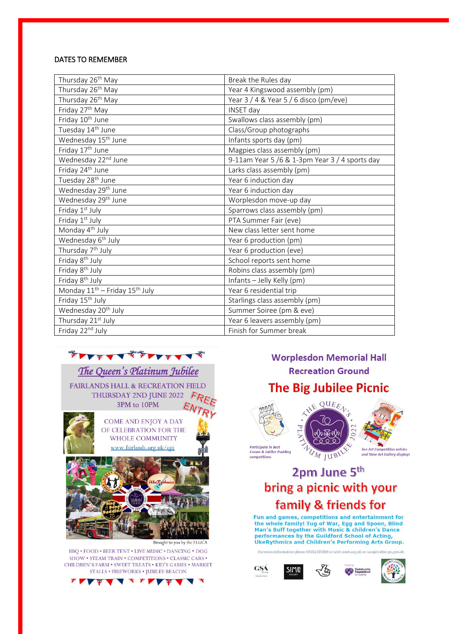#### **DATES TO REMEMBER**

| Thursday 26 <sup>th</sup> May                          | Break the Rules day                            |
|--------------------------------------------------------|------------------------------------------------|
| Thursday 26 <sup>th</sup> May                          | Year 4 Kingswood assembly (pm)                 |
| Thursday 26 <sup>th</sup> May                          | Year 3 / 4 & Year 5 / 6 disco (pm/eve)         |
| Friday 27 <sup>th</sup> May                            | <b>INSET day</b>                               |
| Friday 10 <sup>th</sup> June                           | Swallows class assembly (pm)                   |
| Tuesday 14 <sup>th</sup> June                          | Class/Group photographs                        |
| Wednesday 15 <sup>th</sup> June                        | Infants sports day (pm)                        |
| Friday 17 <sup>th</sup> June                           | Magpies class assembly (pm)                    |
| Wednesday 22nd June                                    | 9-11am Year 5 /6 & 1-3pm Year 3 / 4 sports day |
| Friday 24 <sup>th</sup> June                           | Larks class assembly (pm)                      |
| Tuesday 28 <sup>th</sup> June                          | Year 6 induction day                           |
| Wednesday 29 <sup>th</sup> June                        | Year 6 induction day                           |
| Wednesday 29 <sup>th</sup> June                        | Worplesdon move-up day                         |
| Friday 1st July                                        | Sparrows class assembly (pm)                   |
| Friday 1st July                                        | PTA Summer Fair (eve)                          |
| Monday 4 <sup>th</sup> July                            | New class letter sent home                     |
| Wednesday 6 <sup>th</sup> July                         | Year 6 production (pm)                         |
| Thursday 7 <sup>th</sup> July                          | Year 6 production (eve)                        |
| Friday 8 <sup>th</sup> July                            | School reports sent home                       |
| Friday 8 <sup>th</sup> July                            | Robins class assembly (pm)                     |
| Friday 8 <sup>th</sup> July                            | Infants - Jelly Kelly (pm)                     |
| Monday 11 <sup>th</sup> - Friday 15 <sup>th</sup> July | Year 6 residential trip                        |
| Friday 15 <sup>th</sup> July                           | Starlings class assembly (pm)                  |
| Wednesday 20 <sup>th</sup> July                        | Summer Soiree (pm & eve)                       |
| Thursday 21 <sup>st</sup> July                         | Year 6 leavers assembly (pm)                   |
| Friday 22nd July                                       | Finish for Summer break                        |



The Queen's Platinum Jubilee FAIRLANDS HALL & RECREATION FIELD THURSDAY 2ND JUNE 2022  $F_R$ 3PM to 10PM



Brought to you by the FLGCA

BBQ . FOOD . BEER TENT . LIVE MUSIC . DANCING . DOG SHOW . STEAM TRAIN . COMPETITIONS . CLASSIC CARS . CHILDREN'S FARM . SWEET TREATS . KID'S GAMES . MARKET  $\texttt{STALLS}\texttt{~FIREWORS}\texttt{~JUBILEE BEACON}$ 



## **Worplesdon Memorial Hall Recreation Ground The Big Jubilee Picnic**



# 2pm June 5th

# bring a picnic with your family & friends for

Fun and games, competitions and entertainment for the whole family! Tug of War, Egg and Spoon, Blind Man's Buff together with Music & children's Dance<br>performances by the Guildford School of Acting,<br>UkeRythmics and Children's Performing Arts Group.

ore information phone 07451537260 or visit wmh.o For a